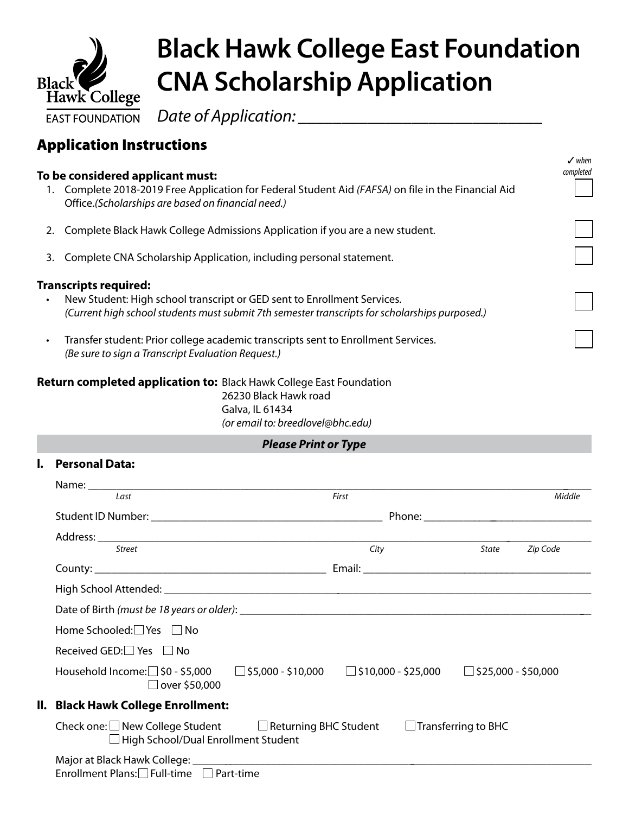

## **Black Hawk College East Foundation CNA Scholarship Application**

3 *when*

*Date of Application: \_\_\_\_\_\_\_\_\_\_\_\_\_\_\_\_\_\_\_\_\_\_\_\_\_\_\_\_*

## Application Instructions

| To be considered applicant must:                                                                                                                                                                          |                                                                                                                                                             |  |  |  |  |
|-----------------------------------------------------------------------------------------------------------------------------------------------------------------------------------------------------------|-------------------------------------------------------------------------------------------------------------------------------------------------------------|--|--|--|--|
| 1.                                                                                                                                                                                                        | Complete 2018-2019 Free Application for Federal Student Aid (FAFSA) on file in the Financial Aid<br>Office.(Scholarships are based on financial need.)      |  |  |  |  |
| 2.                                                                                                                                                                                                        | Complete Black Hawk College Admissions Application if you are a new student.                                                                                |  |  |  |  |
| 3.                                                                                                                                                                                                        | Complete CNA Scholarship Application, including personal statement.                                                                                         |  |  |  |  |
| <b>Transcripts required:</b><br>New Student: High school transcript or GED sent to Enrollment Services.<br>(Current high school students must submit 7th semester transcripts for scholarships purposed.) |                                                                                                                                                             |  |  |  |  |
| $\bullet$                                                                                                                                                                                                 | Transfer student: Prior college academic transcripts sent to Enrollment Services.<br>(Be sure to sign a Transcript Evaluation Request.)                     |  |  |  |  |
|                                                                                                                                                                                                           | <b>Return completed application to: Black Hawk College East Foundation</b><br>26230 Black Hawk road<br>Galva, IL 61434<br>(or email to: breedlovel@bhc.edu) |  |  |  |  |
|                                                                                                                                                                                                           | <b>Please Print or Type</b>                                                                                                                                 |  |  |  |  |
| I.                                                                                                                                                                                                        | <b>Personal Data:</b>                                                                                                                                       |  |  |  |  |
|                                                                                                                                                                                                           | Name:                                                                                                                                                       |  |  |  |  |

| Name: Name                                                                                                                             |       |       |          |
|----------------------------------------------------------------------------------------------------------------------------------------|-------|-------|----------|
| Last                                                                                                                                   | First |       | Middle   |
|                                                                                                                                        |       |       |          |
| $Address: \begin{tabular}{c} \multicolumn{2}{c}{\textbf{\textit{City}}} \\ \multicolumn{2}{c}{\textbf{\textit{City}}} \end{tabular}$   |       |       |          |
|                                                                                                                                        |       | State | Zip Code |
|                                                                                                                                        |       |       |          |
|                                                                                                                                        |       |       |          |
|                                                                                                                                        |       |       |          |
| Home Schooled: Yes □ No                                                                                                                |       |       |          |
| Received GED: $\Box$ Yes $\Box$ No                                                                                                     |       |       |          |
| Household Income:□ \$0 - \$5,000   □ \$5,000 - \$10,000   □ \$10,000 - \$25,000   □ \$25,000 - \$50,000<br>$\Box$ over \$50,000        |       |       |          |
| II. Black Hawk College Enrollment:                                                                                                     |       |       |          |
| Check one: $\Box$ New College Student $\Box$ Returning BHC Student $\Box$ Transferring to BHC<br>□ High School/Dual Enrollment Student |       |       |          |
| Enrollment Plans: $\Box$ Full-time $\Box$ Part-time                                                                                    |       |       |          |